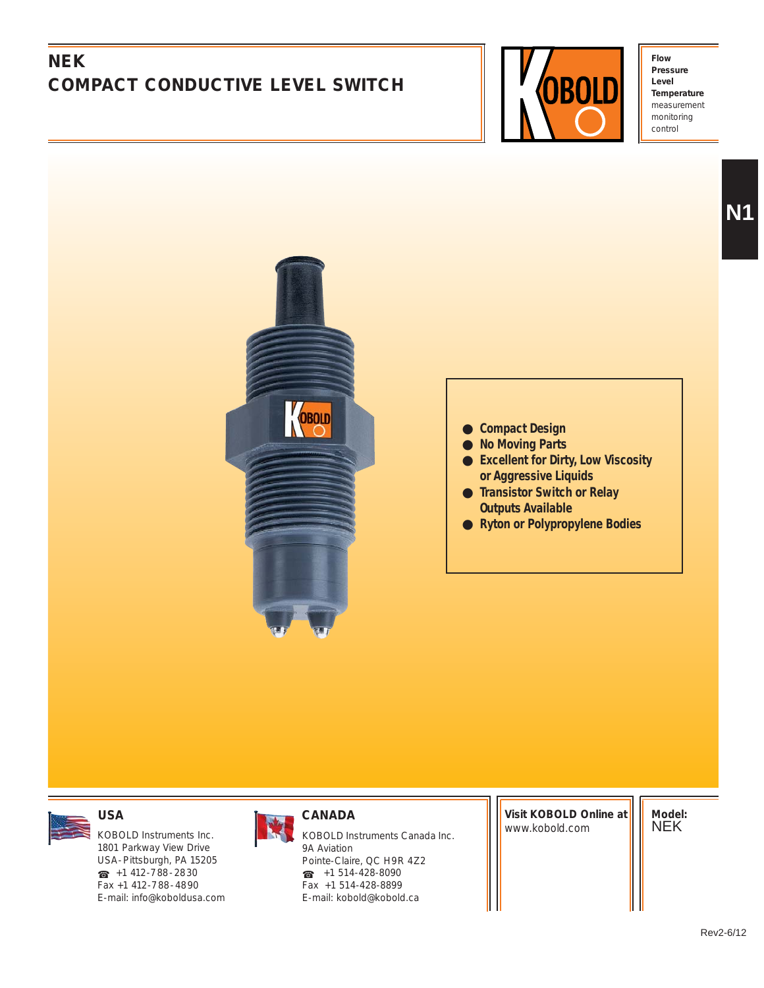# **NEK COMPACT CONDUCTIVE LEVEL SWITCH**



**Flow Pressure Level Temperature** measurement monitoring control



## ● **Compact Design**

- **No Moving Parts**
- **Excellent for Dirty, Low Viscosity or Aggressive Liquids**
- **Transistor Switch or Relay Outputs Available**
- **Ryton or Polypropylene Bodies**

1801 Parkway View Drive USA-Pittsburgh, PA 15205  $\bullet$  +1 412-788-2830 Fax +1 412-788-4890 E-mail: info@koboldusa.com



KOBOLD Instruments Inc. **KOBOLD Instruments Canada Inc.** Manusold.com 9A Aviation Pointe-Claire, QC H9R 4Z2  $\bullet$  +1 514-428-8090 Fax +1 514-428-8899 E-mail: kobold@kobold.ca

**Visit KOBOLD Online at**

**Model:** NEK